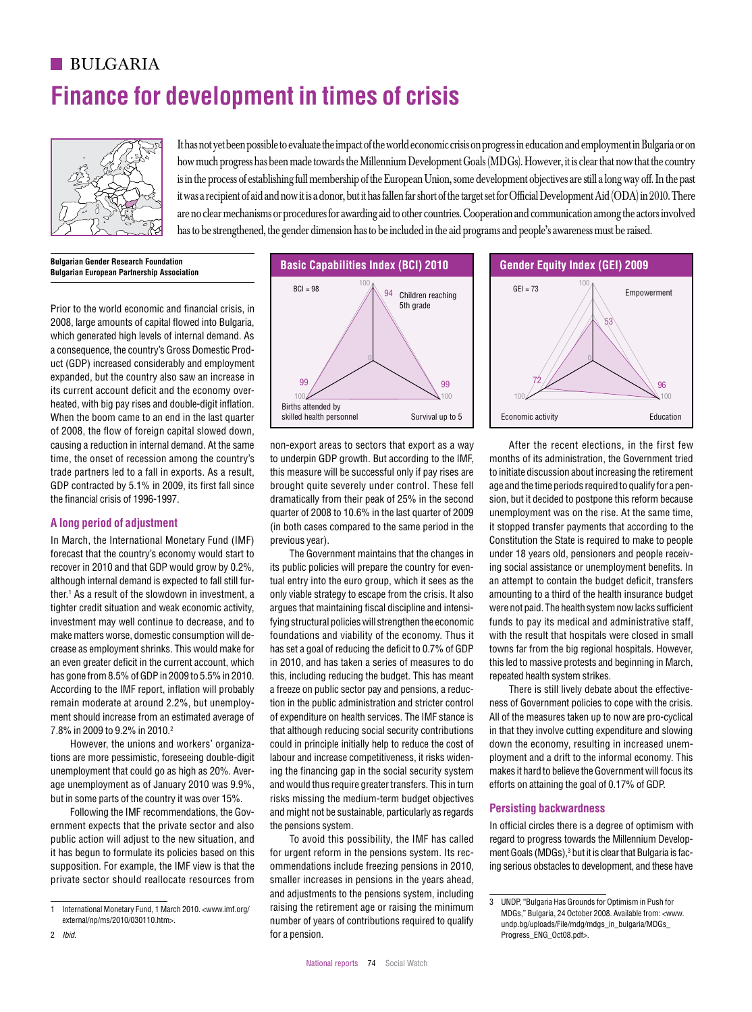# **BULGARIA Finance for development in times of crisis**



It has not yet been possible to evaluate the impact of the world economic crisis on progress in education and employment in Bulgaria or on how much progress has been made towards the Millennium Development Goals (MDGs). However, it is clear that now that the country is in the process of establishing full membership of the European Union, some development objectives are still a long way off. In the past it was a recipient of aid and now it is a donor, but it has fallen far short of the target set for Official Development Aid (ODA) in 2010. There are no clear mechanisms or procedures for awarding aid to other countries. Cooperation and communication among the actors involved has to be strengthened, the gender dimension has to be included in the aid programs and people's awareness must be raised.

**Bulgarian Gender Research Foundation Bulgarian European Partnership Association**

Prior to the world economic and financial crisis, in 2008, large amounts of capital flowed into Bulgaria, which generated high levels of internal demand. As 44 a consequence, the country's Gross Domestic Product (GDP) increased considerably and employment expanded, but the country also saw an increase in Englanded, when the country and the economy overheated, with big pay rises and double-digit inflation. When the boom came to an end in the last quarter of 2008, the flow of foreign capital slowed down, causing a reduction in internal demand. At the same time, the onset of recession among the country's trade partners led to a fall in exports. As a result, GDP contracted by 5.1% in 2009, its first fall since the financial crisis of 1996-1997.  $B_{\text{Coulomb}}$  a reduction in internal demand At the same are non-export areas to sectors that export as a way after the recent elections in the first few cameroon  $B_{\text{Coulomb}}$ IEG OF ARGENTINA = 72 IEG OF ARGENTINA = 58 IEG OF BOLIVIA = 58 IEG of Brazil = 68 IEG of Brazil = 68 IEG of B

 $\overline{\phantom{0}}$ 

## **A long period of adjustment** 100

In March, the International Monetary Fund (IMF) forecast that the country's economy would start to recover in 2010 and that GDP would grow by 0.2%, although internal demand is expected to fall still fur-15 ther.<sup>1</sup> As a result of the slowdown in investment, a tighter credit situation and weak economic activity, investment may well continue to decrease, and to make matters worse, domestic consumption will decrease as employment shrinks. This would make for an even greater deficit in the current account, which has gone from 8.5% of GDP in 2009 to 5.5% in 2010. According to the IMF report, inflation will probably remain moderate at around 2.2%, but unemployment should increase from an estimated average of 7.8% in 2009 to 9.2% in 2010.2 BCI of Central African Republic = 65 BCI of Chile = 98 BCI of Colombia = 94 BCI of Croatia = 98 BCI of Czech Republic = 98 BCI of Egypt, Arab Rep. = 91  $\frac{1}{2}$  and over group from 0.50/ of CDD in 2000 to

> However, the unions and workers' organizations are more pessimistic, foreseeing double-digit unemployment that could go as high as 20%. Average unemployment as of January 2010 was 9.9%, but in some parts of the country it was over 15%.

> Following the IMF recommendations, the Government expects that the private sector and also public action will adjust to the new situation, and it has begun to formulate its policies based on this supposition. For example, the IMF view is that the private sector should reallocate resources from



non-export areas to sectors that export as a way to underpin GDP growth. But according to the IMF, this measure will be successful only if pay rises are brought quite severely under control. These fell dramatically from their peak of 25% in the second quarter of 2008 to 10.6% in the last quarter of 2009 (in both cases compared to the same period in the previous year).

The Government maintains that the changes in its public policies will prepare the country for eventual entry into the euro group, which it sees as the only viable strategy to escape from the crisis. It also argues that maintaining fiscal discipline and intensifying structural policies will strengthen the economic foundations and viability of the economy. Thus it has set a goal of reducing the deficit to 0.7% of GDP in 2010, and has taken a series of measures to do this, including reducing the budget. This has meant a freeze on public sector pay and pensions, a reduction in the public administration and stricter control of expenditure on health services. The IMF stance is that although reducing social security contributions could in principle initially help to reduce the cost of labour and increase competitiveness, it risks widening the financing gap in the social security system and would thus require greater transfers. This in turn risks missing the medium-term budget objectives and might not be sustainable, particularly as regards the pensions system.

To avoid this possibility, the IMF has called for urgent reform in the pensions system. Its recommendations include freezing pensions in 2010, smaller increases in pensions in the years ahead, and adjustments to the pensions system, including raising the retirement age or raising the minimum number of years of contributions required to qualify for a pension. BCI of Finland and BCI of Girls of Ghana and BCI of Girls of Germany and Girls of Ghana individual the State of Ghana and BCI of Ghana and BCI of Ghana and BCI of The United States 2008, And by Calibbi from: annual



After the recent elections, in the first few months of its administration, the Government tried to initiate discussion about increasing the retirement age and the time periods required to qualify for a pension, but it decided to postpone this reform because unemployment was on the rise. At the same time, it stopped transfer payments that according to the Constitution the State is required to make to people under 18 years old, pensioners and people receiving social assistance or unemployment benefits. In an attempt to contain the budget deficit, transfers amounting to a third of the health insurance budget were not paid. The health system now lacks sufficient funds to pay its medical and administrative staff, with the result that hospitals were closed in small towns far from the big regional hospitals. However, this led to massive protests and beginning in March, repeated health system strikes.

There is still lively debate about the effectiveness of Government policies to cope with the crisis. All of the measures taken up to now are pro-cyclical in that they involve cutting expenditure and slowing down the economy, resulting in increased unemployment and a drift to the informal economy. This makes it hard to believe the Government will focus its efforts on attaining the goal of 0.17% of GDP.

### **Persisting backwardness**

In official circles there is a degree of optimism with regard to progress towards the Millennium Development Goals (MDGs),<sup>3</sup> but it is clear that Bulgaria is facing serious obstacles to development, and these have

<sup>1</sup> International Monetary Fund, 1 March 2010. <www.imf.org/ external/np/ms/2010/030110.htm>.

<sup>2</sup> *Ibid*.

<sup>3</sup> UNDP, "Bulgaria Has Grounds for Optimism in Push for MDGs," Bulgaria, 24 October 2008. Available from: <www. undp.bg/uploads/File/mdg/mdgs\_in\_bulgaria/MDGs\_ Progress\_ENG\_Oct08.pdf>.